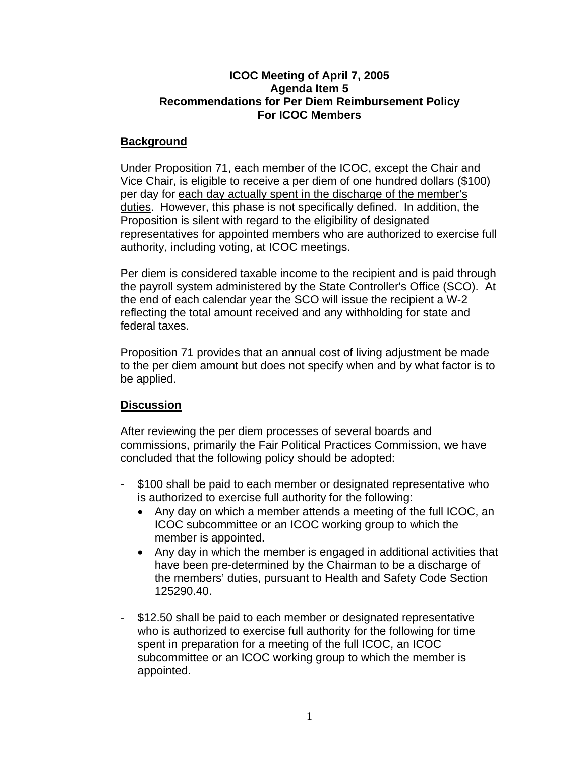## **ICOC Meeting of April 7, 2005 Agenda Item 5 Recommendations for Per Diem Reimbursement Policy For ICOC Members**

## **Background**

Under Proposition 71, each member of the ICOC, except the Chair and Vice Chair, is eligible to receive a per diem of one hundred dollars (\$100) per day for each day actually spent in the discharge of the member's duties. However, this phase is not specifically defined. In addition, the Proposition is silent with regard to the eligibility of designated representatives for appointed members who are authorized to exercise full authority, including voting, at ICOC meetings.

Per diem is considered taxable income to the recipient and is paid through the payroll system administered by the State Controller's Office (SCO). At the end of each calendar year the SCO will issue the recipient a W-2 reflecting the total amount received and any withholding for state and federal taxes.

Proposition 71 provides that an annual cost of living adjustment be made to the per diem amount but does not specify when and by what factor is to be applied.

## **Discussion**

After reviewing the per diem processes of several boards and commissions, primarily the Fair Political Practices Commission, we have concluded that the following policy should be adopted:

- \$100 shall be paid to each member or designated representative who is authorized to exercise full authority for the following:
	- Any day on which a member attends a meeting of the full ICOC, an ICOC subcommittee or an ICOC working group to which the member is appointed.
	- Any day in which the member is engaged in additional activities that have been pre-determined by the Chairman to be a discharge of the members' duties, pursuant to Health and Safety Code Section 125290.40.
- \$12.50 shall be paid to each member or designated representative who is authorized to exercise full authority for the following for time spent in preparation for a meeting of the full ICOC, an ICOC subcommittee or an ICOC working group to which the member is appointed.